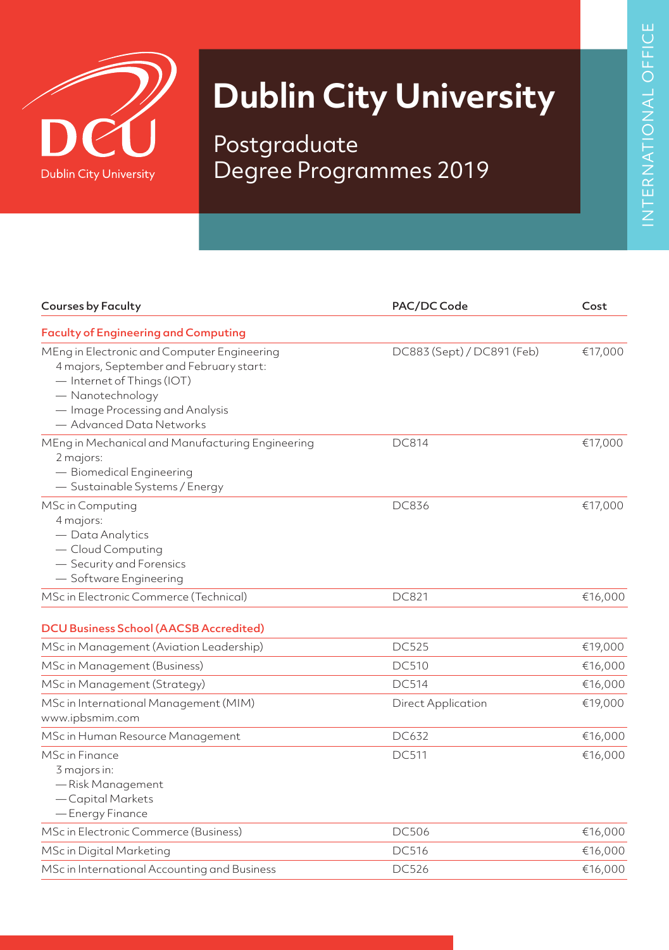

## **Dublin City University**

Postgraduate Degree Programmes 2019

| Courses by Faculty                                                                                                                                                                                      | PAC/DC Code                | Cost    |
|---------------------------------------------------------------------------------------------------------------------------------------------------------------------------------------------------------|----------------------------|---------|
| <b>Faculty of Engineering and Computing</b>                                                                                                                                                             |                            |         |
| MEng in Electronic and Computer Engineering<br>4 majors, September and February start:<br>- Internet of Things (IOT)<br>- Nanotechnology<br>- Image Processing and Analysis<br>- Advanced Data Networks | DC883 (Sept) / DC891 (Feb) | €17,000 |
| MEng in Mechanical and Manufacturing Engineering<br>2 majors:<br>- Biomedical Engineering<br>- Sustainable Systems / Energy                                                                             | <b>DC814</b>               | €17,000 |
| MSc in Computing<br>4 majors:<br>- Data Analytics<br>- Cloud Computing<br>- Security and Forensics<br>- Software Engineering                                                                            | <b>DC836</b>               | €17,000 |
| MSc in Electronic Commerce (Technical)                                                                                                                                                                  | <b>DC821</b>               | €16,000 |
| <b>DCU Business School (AACSB Accredited)</b>                                                                                                                                                           |                            |         |
| MSc in Management (Aviation Leadership)                                                                                                                                                                 | <b>DC525</b>               | €19,000 |
| MSc in Management (Business)                                                                                                                                                                            | <b>DC510</b>               | €16,000 |
| MSc in Management (Strategy)                                                                                                                                                                            | <b>DC514</b>               | €16,000 |
| MSc in International Management (MIM)<br>www.ipbsmim.com                                                                                                                                                | Direct Application         | €19,000 |
| MSc in Human Resource Management                                                                                                                                                                        | <b>DC632</b>               | €16,000 |
| MSc in Finance<br>3 majors in:<br>-Risk Management<br>-Capital Markets<br>-Energy Finance                                                                                                               | <b>DC511</b>               | €16,000 |
| MSc in Electronic Commerce (Business)                                                                                                                                                                   | <b>DC506</b>               | €16,000 |
| MSc in Digital Marketing                                                                                                                                                                                | <b>DC516</b>               | €16,000 |
| MSc in International Accounting and Business                                                                                                                                                            | <b>DC526</b>               | €16,000 |
|                                                                                                                                                                                                         |                            |         |